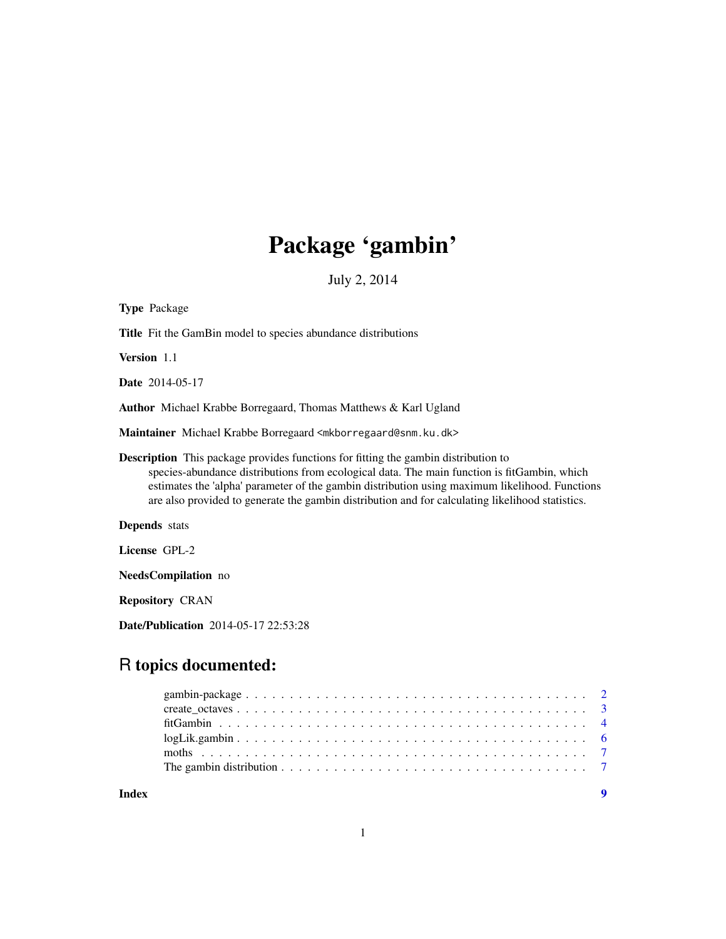# Package 'gambin'

July 2, 2014

| <b>Type Package</b>                                                                                                                                                                                                                                                                                                                                                                     |
|-----------------------------------------------------------------------------------------------------------------------------------------------------------------------------------------------------------------------------------------------------------------------------------------------------------------------------------------------------------------------------------------|
| Title Fit the GamBin model to species abundance distributions                                                                                                                                                                                                                                                                                                                           |
| Version 1.1                                                                                                                                                                                                                                                                                                                                                                             |
| <b>Date</b> 2014-05-17                                                                                                                                                                                                                                                                                                                                                                  |
| Author Michael Krabbe Borregaard, Thomas Matthews & Karl Ugland                                                                                                                                                                                                                                                                                                                         |
| Maintainer Michael Krabbe Borregaard <mkborregaard@snm.ku.dk></mkborregaard@snm.ku.dk>                                                                                                                                                                                                                                                                                                  |
| Description This package provides functions for fitting the gambin distribution to<br>species-abundance distributions from ecological data. The main function is fitGambin, which<br>estimates the 'alpha' parameter of the gambin distribution using maximum likelihood. Functions<br>are also provided to generate the gambin distribution and for calculating likelihood statistics. |
| <b>Depends</b> stats                                                                                                                                                                                                                                                                                                                                                                    |
| License GPL-2                                                                                                                                                                                                                                                                                                                                                                           |
| <b>NeedsCompilation</b> no                                                                                                                                                                                                                                                                                                                                                              |
| <b>Repository CRAN</b>                                                                                                                                                                                                                                                                                                                                                                  |
| Date/Publication 2014-05-17 22:53:28                                                                                                                                                                                                                                                                                                                                                    |
| R topics documented:                                                                                                                                                                                                                                                                                                                                                                    |
| 3                                                                                                                                                                                                                                                                                                                                                                                       |

| $logLik.gambin$ 6 |  |
|-------------------|--|
|                   |  |
|                   |  |
|                   |  |

**Index** [9](#page-8-0)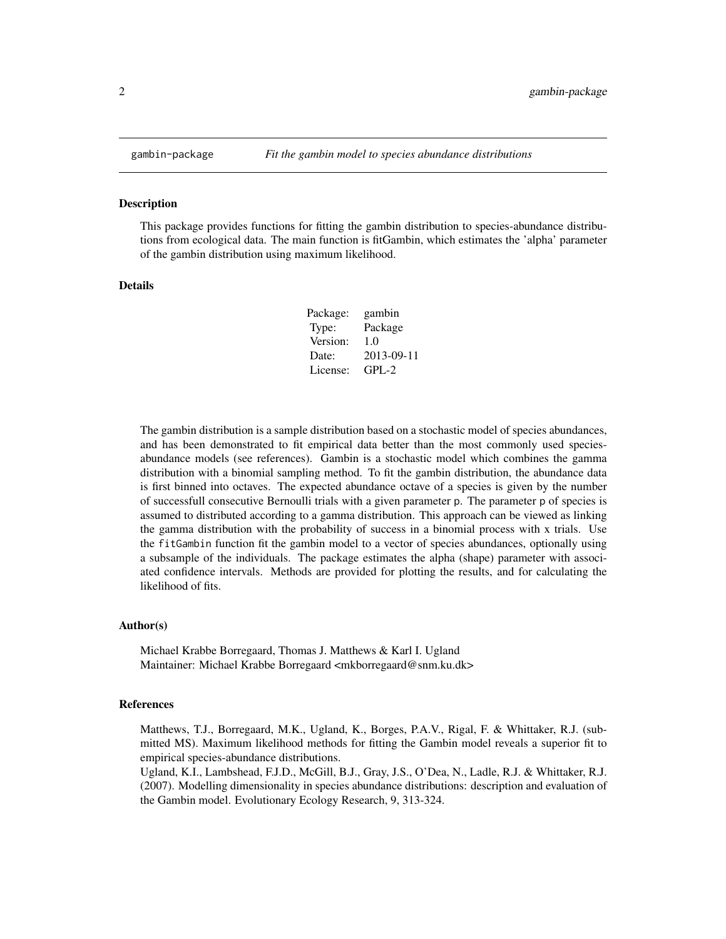<span id="page-1-0"></span>

This package provides functions for fitting the gambin distribution to species-abundance distributions from ecological data. The main function is fitGambin, which estimates the 'alpha' parameter of the gambin distribution using maximum likelihood.

#### Details

| Package: | gambin     |
|----------|------------|
| Type:    | Package    |
| Version: | 1.0        |
| Date:    | 2013-09-11 |
| License: | $GPL-2$    |

The gambin distribution is a sample distribution based on a stochastic model of species abundances, and has been demonstrated to fit empirical data better than the most commonly used speciesabundance models (see references). Gambin is a stochastic model which combines the gamma distribution with a binomial sampling method. To fit the gambin distribution, the abundance data is first binned into octaves. The expected abundance octave of a species is given by the number of successfull consecutive Bernoulli trials with a given parameter p. The parameter p of species is assumed to distributed according to a gamma distribution. This approach can be viewed as linking the gamma distribution with the probability of success in a binomial process with x trials. Use the fitGambin function fit the gambin model to a vector of species abundances, optionally using a subsample of the individuals. The package estimates the alpha (shape) parameter with associated confidence intervals. Methods are provided for plotting the results, and for calculating the likelihood of fits.

#### Author(s)

Michael Krabbe Borregaard, Thomas J. Matthews & Karl I. Ugland Maintainer: Michael Krabbe Borregaard <mkborregaard@snm.ku.dk>

## References

Matthews, T.J., Borregaard, M.K., Ugland, K., Borges, P.A.V., Rigal, F. & Whittaker, R.J. (submitted MS). Maximum likelihood methods for fitting the Gambin model reveals a superior fit to empirical species-abundance distributions.

Ugland, K.I., Lambshead, F.J.D., McGill, B.J., Gray, J.S., O'Dea, N., Ladle, R.J. & Whittaker, R.J. (2007). Modelling dimensionality in species abundance distributions: description and evaluation of the Gambin model. Evolutionary Ecology Research, 9, 313-324.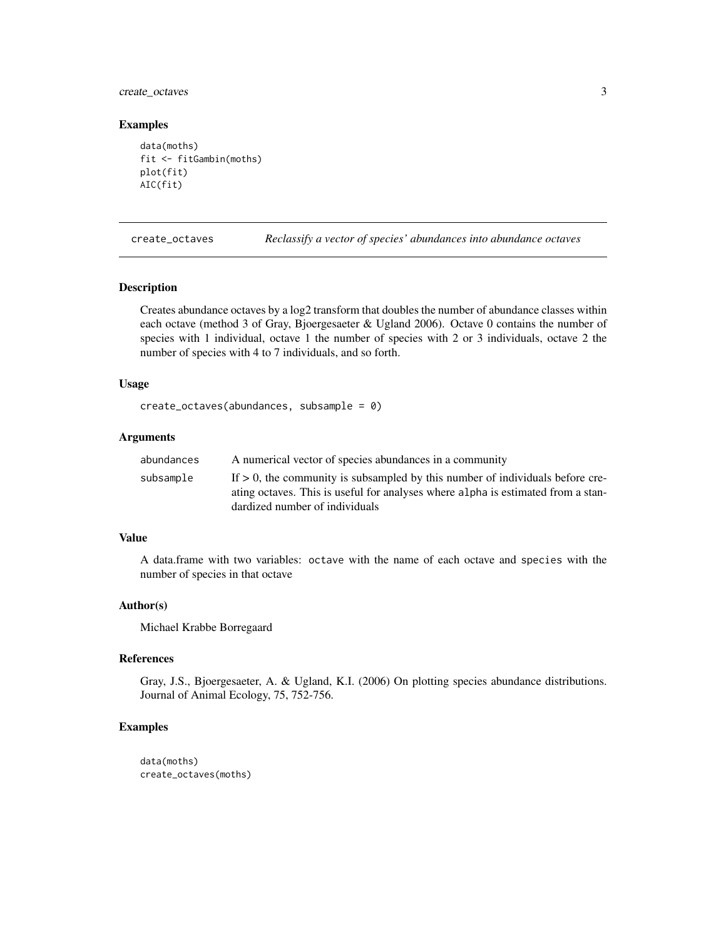<span id="page-2-0"></span>create\_octaves 3

#### Examples

```
data(moths)
fit <- fitGambin(moths)
plot(fit)
AIC(fit)
```
<span id="page-2-1"></span>create\_octaves *Reclassify a vector of species' abundances into abundance octaves*

## Description

Creates abundance octaves by a log2 transform that doubles the number of abundance classes within each octave (method 3 of Gray, Bjoergesaeter & Ugland 2006). Octave 0 contains the number of species with 1 individual, octave 1 the number of species with 2 or 3 individuals, octave 2 the number of species with 4 to 7 individuals, and so forth.

## Usage

```
create_octaves(abundances, subsample = 0)
```
## Arguments

| abundances | A numerical vector of species abundances in a community                                                                                                                                                |
|------------|--------------------------------------------------------------------------------------------------------------------------------------------------------------------------------------------------------|
| subsample  | If $> 0$ , the community is subsampled by this number of individuals before cre-<br>ating octaves. This is useful for analyses where alpha is estimated from a stan-<br>dardized number of individuals |
|            |                                                                                                                                                                                                        |

### Value

A data.frame with two variables: octave with the name of each octave and species with the number of species in that octave

## Author(s)

Michael Krabbe Borregaard

## References

Gray, J.S., Bjoergesaeter, A. & Ugland, K.I. (2006) On plotting species abundance distributions. Journal of Animal Ecology, 75, 752-756.

#### Examples

data(moths) create\_octaves(moths)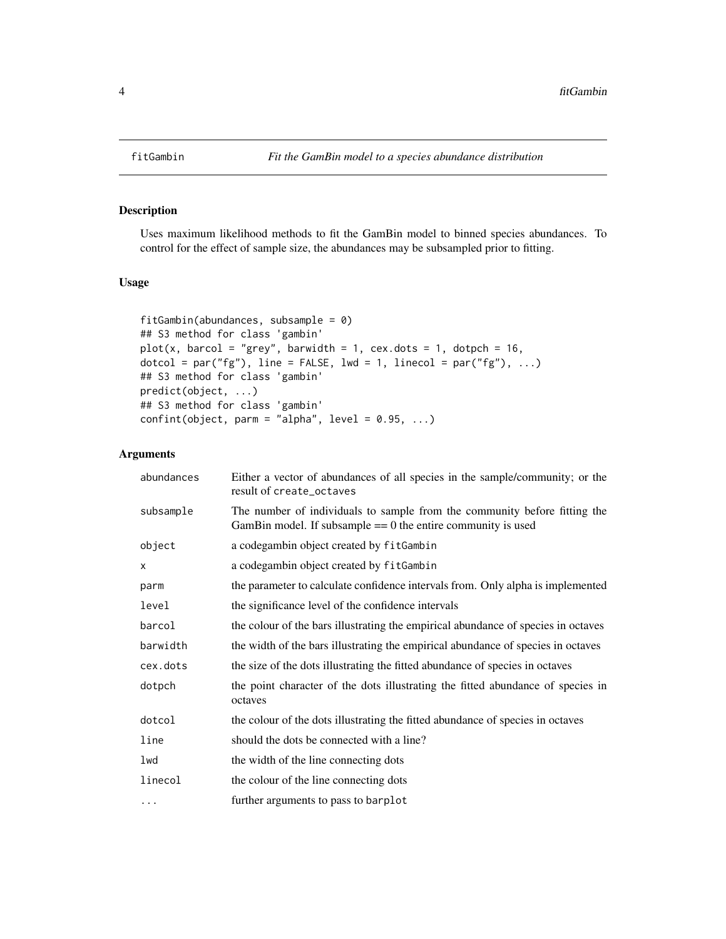Uses maximum likelihood methods to fit the GamBin model to binned species abundances. To control for the effect of sample size, the abundances may be subsampled prior to fitting.

## Usage

```
fitGambin(abundances, subsample = 0)
## S3 method for class 'gambin'
plot(x, barcol = "grey", barwidth = 1, cex.dots = 1, dotpch = 16,dotcol = par("fg"), line = FALSE, lwd = 1, linecol = par("fg"), ...)
## S3 method for class 'gambin'
predict(object, ...)
## S3 method for class 'gambin'
confint(object, parm = "alpha", level = 0.95, ...)
```
## Arguments

| abundances | Either a vector of abundances of all species in the sample/community; or the<br>result of create_octaves                                    |
|------------|---------------------------------------------------------------------------------------------------------------------------------------------|
| subsample  | The number of individuals to sample from the community before fitting the<br>GamBin model. If subsample $== 0$ the entire community is used |
| object     | a codegambin object created by fitGambin                                                                                                    |
| X          | a codegambin object created by fitGambin                                                                                                    |
| parm       | the parameter to calculate confidence intervals from. Only alpha is implemented                                                             |
| level      | the significance level of the confidence intervals                                                                                          |
| barcol     | the colour of the bars illustrating the empirical abundance of species in octaves                                                           |
| barwidth   | the width of the bars illustrating the empirical abundance of species in octaves                                                            |
| cex.dots   | the size of the dots illustrating the fitted abundance of species in octaves                                                                |
| dotpch     | the point character of the dots illustrating the fitted abundance of species in<br>octaves                                                  |
| dotcol     | the colour of the dots illustrating the fitted abundance of species in octaves                                                              |
| line       | should the dots be connected with a line?                                                                                                   |
| lwd        | the width of the line connecting dots                                                                                                       |
| linecol    | the colour of the line connecting dots                                                                                                      |
| $\cdots$   | further arguments to pass to barplot                                                                                                        |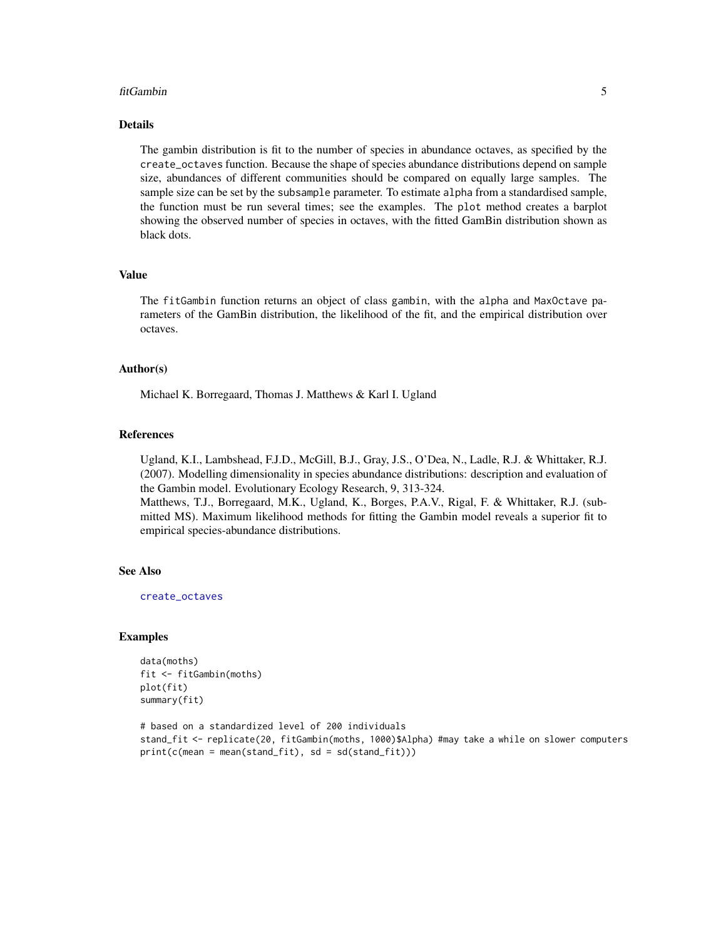#### <span id="page-4-0"></span>fitGambin 5

#### Details

The gambin distribution is fit to the number of species in abundance octaves, as specified by the create\_octaves function. Because the shape of species abundance distributions depend on sample size, abundances of different communities should be compared on equally large samples. The sample size can be set by the subsample parameter. To estimate alpha from a standardised sample, the function must be run several times; see the examples. The plot method creates a barplot showing the observed number of species in octaves, with the fitted GamBin distribution shown as black dots.

#### Value

The fitGambin function returns an object of class gambin, with the alpha and MaxOctave parameters of the GamBin distribution, the likelihood of the fit, and the empirical distribution over octaves.

#### Author(s)

Michael K. Borregaard, Thomas J. Matthews & Karl I. Ugland

#### References

Ugland, K.I., Lambshead, F.J.D., McGill, B.J., Gray, J.S., O'Dea, N., Ladle, R.J. & Whittaker, R.J. (2007). Modelling dimensionality in species abundance distributions: description and evaluation of the Gambin model. Evolutionary Ecology Research, 9, 313-324.

Matthews, T.J., Borregaard, M.K., Ugland, K., Borges, P.A.V., Rigal, F. & Whittaker, R.J. (submitted MS). Maximum likelihood methods for fitting the Gambin model reveals a superior fit to empirical species-abundance distributions.

#### See Also

[create\\_octaves](#page-2-1)

#### Examples

```
data(moths)
fit <- fitGambin(moths)
plot(fit)
summary(fit)
# based on a standardized level of 200 individuals
stand_fit <- replicate(20, fitGambin(moths, 1000)$Alpha) #may take a while on slower computers
print(c(mean = mean(stand_fit), sd = sd(stand_fit)))
```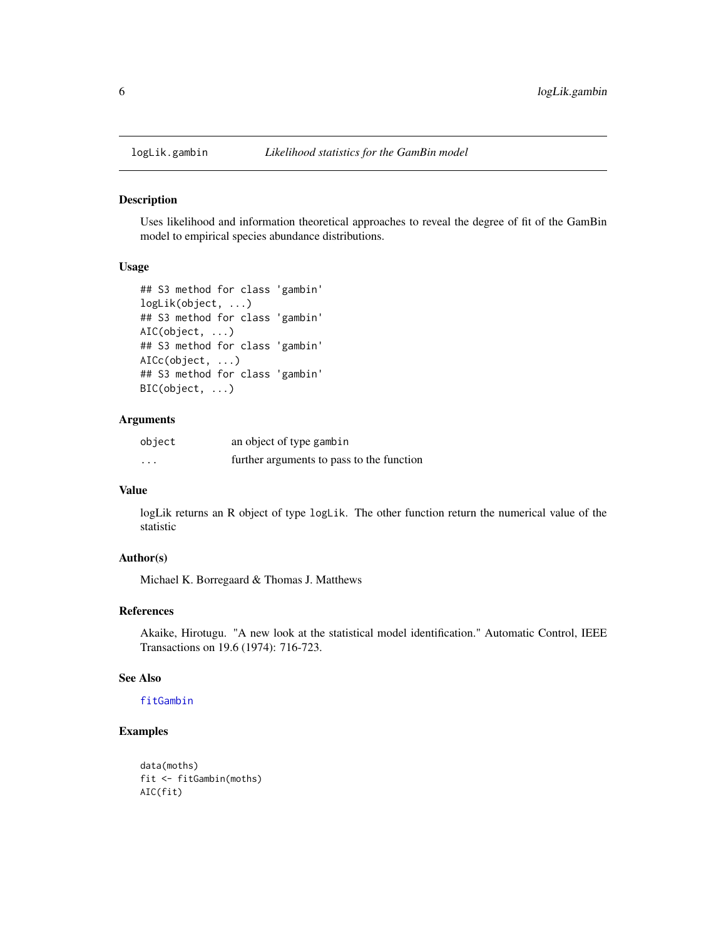<span id="page-5-0"></span>

Uses likelihood and information theoretical approaches to reveal the degree of fit of the GamBin model to empirical species abundance distributions.

## Usage

```
## S3 method for class 'gambin'
logLik(object, ...)
## S3 method for class 'gambin'
AIC(object, ...)
## S3 method for class 'gambin'
AICc(object, ...)
## S3 method for class 'gambin'
BIC(object, ...)
```
#### Arguments

| object   | an object of type gambin                  |
|----------|-------------------------------------------|
| $\cdots$ | further arguments to pass to the function |

#### Value

logLik returns an R object of type logLik. The other function return the numerical value of the statistic

## Author(s)

Michael K. Borregaard & Thomas J. Matthews

#### References

Akaike, Hirotugu. "A new look at the statistical model identification." Automatic Control, IEEE Transactions on 19.6 (1974): 716-723.

#### See Also

## [fitGambin](#page-3-1)

## Examples

```
data(moths)
fit <- fitGambin(moths)
AIC(fit)
```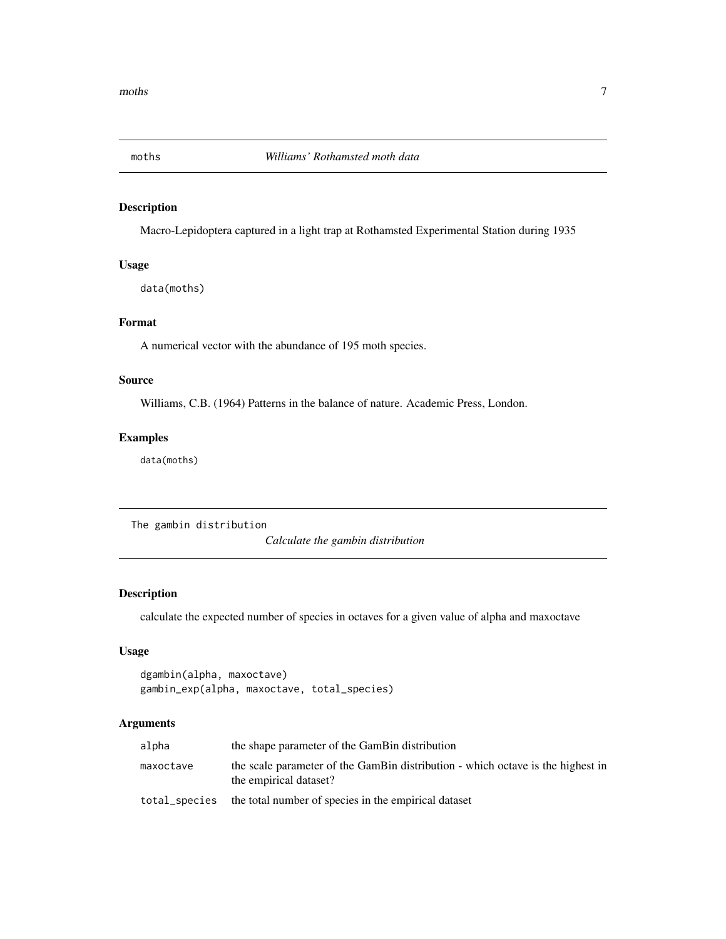<span id="page-6-0"></span>

Macro-Lepidoptera captured in a light trap at Rothamsted Experimental Station during 1935

### Usage

data(moths)

## Format

A numerical vector with the abundance of 195 moth species.

## Source

Williams, C.B. (1964) Patterns in the balance of nature. Academic Press, London.

## Examples

data(moths)

The gambin distribution

*Calculate the gambin distribution*

## Description

calculate the expected number of species in octaves for a given value of alpha and maxoctave

## Usage

```
dgambin(alpha, maxoctave)
gambin_exp(alpha, maxoctave, total_species)
```
## Arguments

| alpha         | the shape parameter of the GamBin distribution                                                            |
|---------------|-----------------------------------------------------------------------------------------------------------|
| maxoctave     | the scale parameter of the GamBin distribution - which octave is the highest in<br>the empirical dataset? |
| total_species | the total number of species in the empirical dataset                                                      |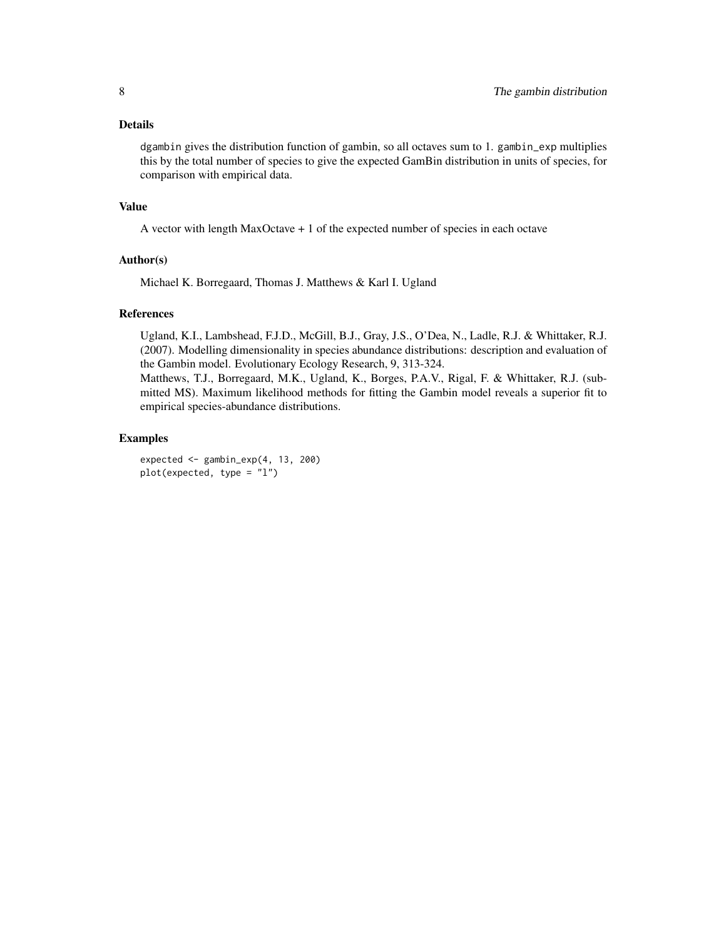## Details

dgambin gives the distribution function of gambin, so all octaves sum to 1. gambin\_exp multiplies this by the total number of species to give the expected GamBin distribution in units of species, for comparison with empirical data.

#### Value

A vector with length MaxOctave + 1 of the expected number of species in each octave

## Author(s)

Michael K. Borregaard, Thomas J. Matthews & Karl I. Ugland

## References

Ugland, K.I., Lambshead, F.J.D., McGill, B.J., Gray, J.S., O'Dea, N., Ladle, R.J. & Whittaker, R.J. (2007). Modelling dimensionality in species abundance distributions: description and evaluation of the Gambin model. Evolutionary Ecology Research, 9, 313-324.

Matthews, T.J., Borregaard, M.K., Ugland, K., Borges, P.A.V., Rigal, F. & Whittaker, R.J. (submitted MS). Maximum likelihood methods for fitting the Gambin model reveals a superior fit to empirical species-abundance distributions.

## Examples

expected <- gambin\_exp(4, 13, 200) plot(expected, type = "l")